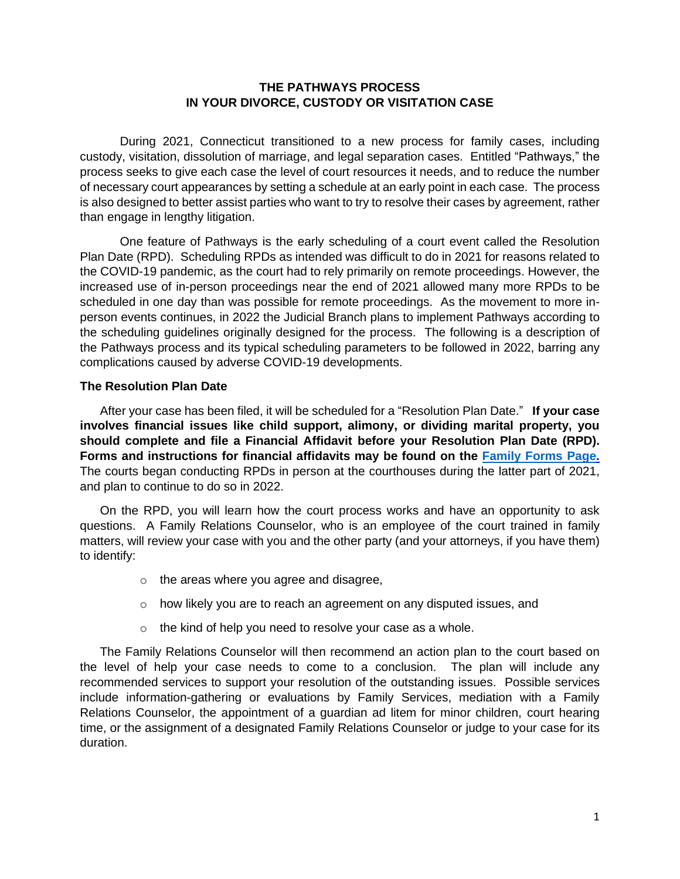# **THE PATHWAYS PROCESS IN YOUR DIVORCE, CUSTODY OR VISITATION CASE**

During 2021, Connecticut transitioned to a new process for family cases, including custody, visitation, dissolution of marriage, and legal separation cases. Entitled "Pathways," the process seeks to give each case the level of court resources it needs, and to reduce the number of necessary court appearances by setting a schedule at an early point in each case. The process is also designed to better assist parties who want to try to resolve their cases by agreement, rather than engage in lengthy litigation.

One feature of Pathways is the early scheduling of a court event called the Resolution Plan Date (RPD). Scheduling RPDs as intended was difficult to do in 2021 for reasons related to the COVID-19 pandemic, as the court had to rely primarily on remote proceedings. However, the increased use of in-person proceedings near the end of 2021 allowed many more RPDs to be scheduled in one day than was possible for remote proceedings. As the movement to more inperson events continues, in 2022 the Judicial Branch plans to implement Pathways according to the scheduling guidelines originally designed for the process. The following is a description of the Pathways process and its typical scheduling parameters to be followed in 2022, barring any complications caused by adverse COVID-19 developments.

### **The Resolution Plan Date**

After your case has been filed, it will be scheduled for a "Resolution Plan Date." **If your case involves financial issues like child support, alimony, or dividing marital property, you should complete and file a Financial Affidavit before your Resolution Plan Date (RPD). Forms and instructions for financial affidavits may be found on the [Family Forms Page.](https://www.jud.ct.gov/webforms/default.aspx?load_catg=Family#searchTable)** The courts began conducting RPDs in person at the courthouses during the latter part of 2021, and plan to continue to do so in 2022.

On the RPD, you will learn how the court process works and have an opportunity to ask questions. A Family Relations Counselor, who is an employee of the court trained in family matters, will review your case with you and the other party (and your attorneys, if you have them) to identify:

- o the areas where you agree and disagree,
- o how likely you are to reach an agreement on any disputed issues, and
- $\circ$  the kind of help you need to resolve your case as a whole.

The Family Relations Counselor will then recommend an action plan to the court based on the level of help your case needs to come to a conclusion. The plan will include any recommended services to support your resolution of the outstanding issues. Possible services include information-gathering or evaluations by Family Services, mediation with a Family Relations Counselor, the appointment of a guardian ad litem for minor children, court hearing time, or the assignment of a designated Family Relations Counselor or judge to your case for its duration.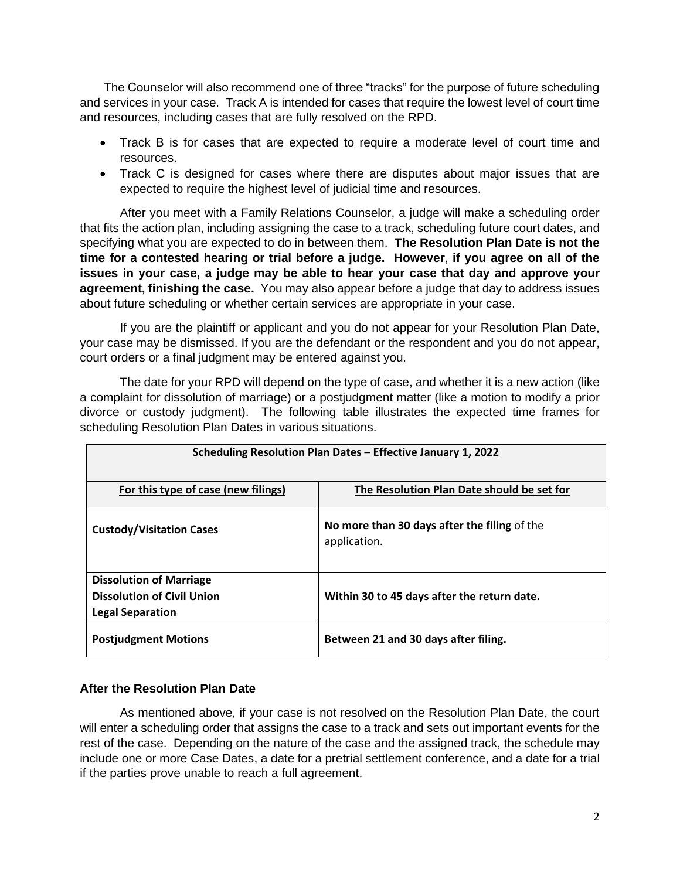The Counselor will also recommend one of three "tracks" for the purpose of future scheduling and services in your case. Track A is intended for cases that require the lowest level of court time and resources, including cases that are fully resolved on the RPD.

- Track B is for cases that are expected to require a moderate level of court time and resources.
- Track C is designed for cases where there are disputes about major issues that are expected to require the highest level of judicial time and resources.

After you meet with a Family Relations Counselor, a judge will make a scheduling order that fits the action plan, including assigning the case to a track, scheduling future court dates, and specifying what you are expected to do in between them. **The Resolution Plan Date is not the time for a contested hearing or trial before a judge. However**, **if you agree on all of the issues in your case, a judge may be able to hear your case that day and approve your agreement, finishing the case.** You may also appear before a judge that day to address issues about future scheduling or whether certain services are appropriate in your case.

If you are the plaintiff or applicant and you do not appear for your Resolution Plan Date, your case may be dismissed. If you are the defendant or the respondent and you do not appear, court orders or a final judgment may be entered against you.

The date for your RPD will depend on the type of case, and whether it is a new action (like a complaint for dissolution of marriage) or a postjudgment matter (like a motion to modify a prior divorce or custody judgment). The following table illustrates the expected time frames for scheduling Resolution Plan Dates in various situations.

| Scheduling Resolution Plan Dates – Effective January 1, 2022                                   |                                                              |
|------------------------------------------------------------------------------------------------|--------------------------------------------------------------|
| For this type of case (new filings)                                                            | The Resolution Plan Date should be set for                   |
| <b>Custody/Visitation Cases</b>                                                                | No more than 30 days after the filing of the<br>application. |
| <b>Dissolution of Marriage</b><br><b>Dissolution of Civil Union</b><br><b>Legal Separation</b> | Within 30 to 45 days after the return date.                  |
| <b>Postjudgment Motions</b>                                                                    | Between 21 and 30 days after filing.                         |

# **After the Resolution Plan Date**

As mentioned above, if your case is not resolved on the Resolution Plan Date, the court will enter a scheduling order that assigns the case to a track and sets out important events for the rest of the case. Depending on the nature of the case and the assigned track, the schedule may include one or more Case Dates, a date for a pretrial settlement conference, and a date for a trial if the parties prove unable to reach a full agreement.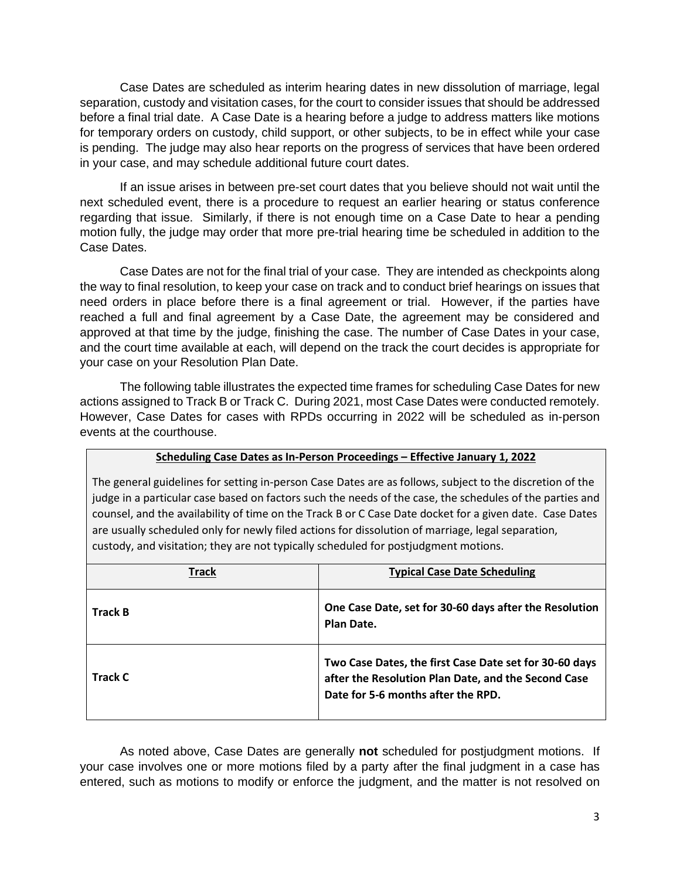Case Dates are scheduled as interim hearing dates in new dissolution of marriage, legal separation, custody and visitation cases, for the court to consider issues that should be addressed before a final trial date. A Case Date is a hearing before a judge to address matters like motions for temporary orders on custody, child support, or other subjects, to be in effect while your case is pending. The judge may also hear reports on the progress of services that have been ordered in your case, and may schedule additional future court dates.

If an issue arises in between pre-set court dates that you believe should not wait until the next scheduled event, there is a procedure to request an earlier hearing or status conference regarding that issue. Similarly, if there is not enough time on a Case Date to hear a pending motion fully, the judge may order that more pre-trial hearing time be scheduled in addition to the Case Dates.

Case Dates are not for the final trial of your case. They are intended as checkpoints along the way to final resolution, to keep your case on track and to conduct brief hearings on issues that need orders in place before there is a final agreement or trial. However, if the parties have reached a full and final agreement by a Case Date, the agreement may be considered and approved at that time by the judge, finishing the case. The number of Case Dates in your case, and the court time available at each, will depend on the track the court decides is appropriate for your case on your Resolution Plan Date.

The following table illustrates the expected time frames for scheduling Case Dates for new actions assigned to Track B or Track C. During 2021, most Case Dates were conducted remotely. However, Case Dates for cases with RPDs occurring in 2022 will be scheduled as in-person events at the courthouse.

#### **Scheduling Case Dates as In-Person Proceedings – Effective January 1, 2022**

The general guidelines for setting in-person Case Dates are as follows, subject to the discretion of the judge in a particular case based on factors such the needs of the case, the schedules of the parties and counsel, and the availability of time on the Track B or C Case Date docket for a given date. Case Dates are usually scheduled only for newly filed actions for dissolution of marriage, legal separation, custody, and visitation; they are not typically scheduled for postjudgment motions.

| <b>Track</b>   | <b>Typical Case Date Scheduling</b>                                                                                                                 |
|----------------|-----------------------------------------------------------------------------------------------------------------------------------------------------|
| <b>Track B</b> | One Case Date, set for 30-60 days after the Resolution<br>Plan Date.                                                                                |
| Track C        | Two Case Dates, the first Case Date set for 30-60 days<br>after the Resolution Plan Date, and the Second Case<br>Date for 5-6 months after the RPD. |

As noted above, Case Dates are generally **not** scheduled for postjudgment motions. If your case involves one or more motions filed by a party after the final judgment in a case has entered, such as motions to modify or enforce the judgment, and the matter is not resolved on